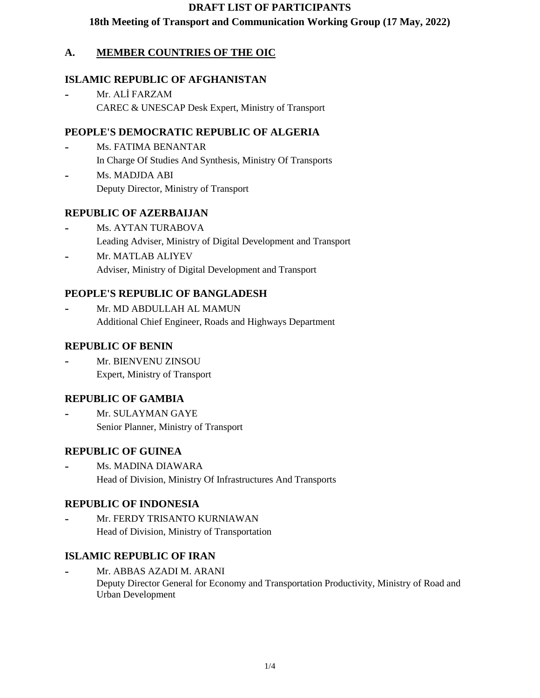#### **DRAFT LIST OF PARTICIPANTS**

### **18th Meeting of Transport and Communication Working Group (17 May, 2022)**

### **A. MEMBER COUNTRIES OF THE OIC**

#### **ISLAMIC REPUBLIC OF AFGHANISTAN**

Mr. ALİ FARZAM CAREC & UNESCAP Desk Expert, Ministry of Transport

#### **PEOPLE'S DEMOCRATIC REPUBLIC OF ALGERIA**

- Ms. FATIMA BENANTAR In Charge Of Studies And Synthesis, Ministry Of Transports
- Ms. MADJDA ABI Deputy Director, Ministry of Transport

#### **REPUBLIC OF AZERBAIJAN**

- Ms. AYTAN TURABOVA Leading Adviser, Ministry of Digital Development and Transport
- Mr. MATLAB ALIYEV Adviser, Ministry of Digital Development and Transport

#### **PEOPLE'S REPUBLIC OF BANGLADESH**

Mr. MD ABDULLAH AL MAMUN Additional Chief Engineer, Roads and Highways Department

#### **REPUBLIC OF BENIN**

Mr. BIENVENU ZINSOU Expert, Ministry of Transport

#### **REPUBLIC OF GAMBIA**

Mr. SULAYMAN GAYE Senior Planner, Ministry of Transport

#### **REPUBLIC OF GUINEA**

Ms. MADINA DIAWARA Head of Division, Ministry Of Infrastructures And Transports

#### **REPUBLIC OF INDONESIA**

Mr. FERDY TRISANTO KURNIAWAN Head of Division, Ministry of Transportation

#### **ISLAMIC REPUBLIC OF IRAN**

Mr. ABBAS AZADI M. ARANI Deputy Director General for Economy and Transportation Productivity, Ministry of Road and Urban Development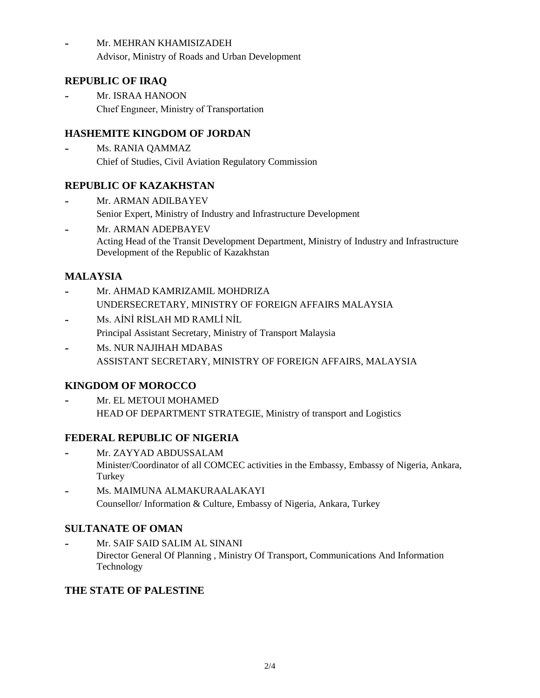Mr. MEHRAN KHAMISIZADEH Advisor, Ministry of Roads and Urban Development

### **REPUBLIC OF IRAQ**

Mr. ISRAA HANOON Chıef Engıneer, Ministry of Transportation

# **HASHEMITE KINGDOM OF JORDAN**

Ms. RANIA QAMMAZ Chief of Studies, Civil Aviation Regulatory Commission

### **REPUBLIC OF KAZAKHSTAN**

- Mr. ARMAN ADILBAYEV Senior Expert, Ministry of Industry and Infrastructure Development
- Mr. ARMAN ADEPBAYEV Acting Head of the Transit Development Department, Ministry of Industry and Infrastructure Development of the Republic of Kazakhstan

# **MALAYSIA**

- Mr. AHMAD KAMRIZAMIL MOHDRIZA UNDERSECRETARY, MINISTRY OF FOREIGN AFFAIRS MALAYSIA
- Ms. AİNİ RİSLAH MD RAMLİ NİL Principal Assistant Secretary, Ministry of Transport Malaysia
- Ms. NUR NAJIHAH MDABAS ASSISTANT SECRETARY, MINISTRY OF FOREIGN AFFAIRS, MALAYSIA

# **KINGDOM OF MOROCCO**

Mr. EL METOUI MOHAMED HEAD OF DEPARTMENT STRATEGIE, Ministry of transport and Logistics

# **FEDERAL REPUBLIC OF NIGERIA**

- Mr. ZAYYAD ABDUSSALAM Minister/Coordinator of all COMCEC activities in the Embassy, Embassy of Nigeria, Ankara, **Turkey**
- Ms. MAIMUNA ALMAKURAALAKAYI Counsellor/ Information & Culture, Embassy of Nigeria, Ankara, Turkey

# **SULTANATE OF OMAN**

Mr. SAIF SAID SALIM AL SINANI Director General Of Planning , Ministry Of Transport, Communications And Information Technology

# **THE STATE OF PALESTINE**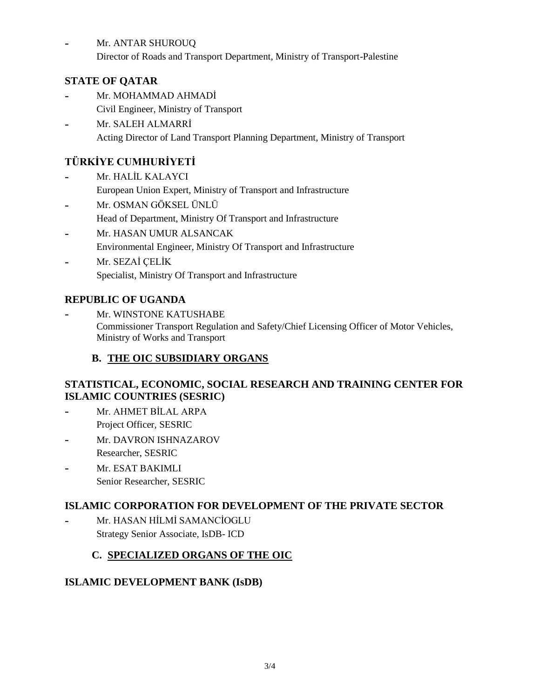Mr. ANTAR SHUROUQ

Director of Roads and Transport Department, Ministry of Transport-Palestine

### **STATE OF QATAR**

- Mr. MOHAMMAD AHMADİ Civil Engineer, Ministry of Transport
- Mr. SALEH ALMARRİ Acting Director of Land Transport Planning Department, Ministry of Transport

# **TÜRKİYE CUMHURİYETİ**

- Mr. HALİL KALAYCI European Union Expert, Ministry of Transport and Infrastructure
- Mr. OSMAN GÖKSEL ÜNLÜ Head of Department, Ministry Of Transport and Infrastructure
- Mr. HASAN UMUR ALSANCAK Environmental Engineer, Ministry Of Transport and Infrastructure
- Mr. SEZAİ ÇELİK Specialist, Ministry Of Transport and Infrastructure

# **REPUBLIC OF UGANDA**

Mr. WINSTONE KATUSHABE Commissioner Transport Regulation and Safety/Chief Licensing Officer of Motor Vehicles, Ministry of Works and Transport

# **B. THE OIC SUBSIDIARY ORGANS**

#### **STATISTICAL, ECONOMIC, SOCIAL RESEARCH AND TRAINING CENTER FOR ISLAMIC COUNTRIES (SESRIC)**

- Mr. AHMET BİLAL ARPA Project Officer, SESRIC
- Mr. DAVRON ISHNAZAROV Researcher, SESRIC
- Mr. ESAT BAKIMLI Senior Researcher, SESRIC

# **ISLAMIC CORPORATION FOR DEVELOPMENT OF THE PRIVATE SECTOR**

Mr. HASAN HİLMİ SAMANCİOGLU Strategy Senior Associate, IsDB- ICD

# **C. SPECIALIZED ORGANS OF THE OIC**

# **ISLAMIC DEVELOPMENT BANK (IsDB)**